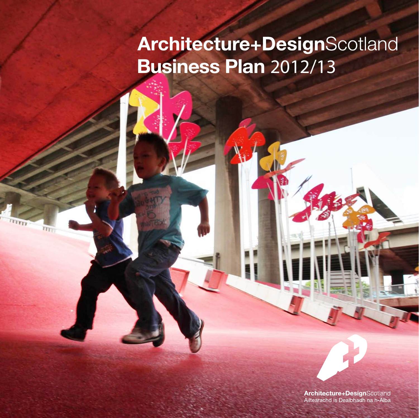# **Architecture+DesignScotland** Business Plan 2012/13

**Tra** 

 $n_{\rm T}$ 

Architecture+DesignScotland Ailtearachd is Dealbhadh na h-Alba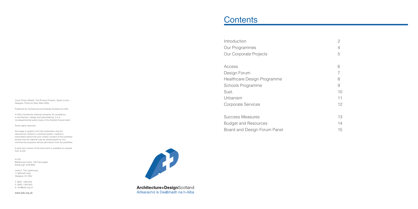Cover Photo (Detail): The Phoenix Flowers, Speirs Locks, Glasgow. Photo by Gary Watt (ISIS).

Published by Architecture and Design Scotland (A+DS)

A+DS is Scotland's national champion for excellence in architecture, design and placemaking. It is a nondepartmental public body of the Scottish Government.

Some rights reserved.

No image or graphic from this publication may be reproduced, stored in a retrieval system, copied or transmitted without the prior written consent of the publisher except that the material may be photocopied for noncommercial purposes without permission from the publisher.

Access Design Forum Healthcare Design Programme Schools Programme Sust. 10 Urbanism 11 Corporate Services 2008 12

Success Measures 13 Budget and Resources 14 Board and Design Forum Panel 15



Architecture+DesignScotland Ailtearachd is Dealbhadh na h-Alba

A plain text version of this document is available on request from A+DS.

A+DS Bakehouse Close, 146 Canongate, Edinburgh, EH8 8DD

Level 2, The Lighthouse, 11 Mitchell Lane, Glasgow, G1 3NU

T: 0845 1 800 642 F: 0845 1 800 643 E: info@ads.org.uk

www.ads.org.uk

## **Contents**

Introduction Our Programmes Our Corporate Projects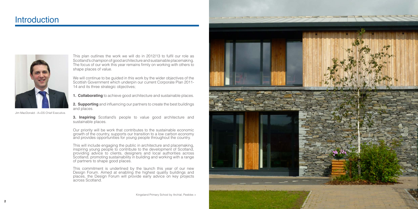This plan outlines the work we will do in 2012/13 to fulfil our role as Scotland's champion of good architecture and sustainable placemaking. The focus of our work this year remains firmly on working with others to shape places of value.

We will continue to be quided in this work by the wider objectives of the Scottish Government which underpin our current Corporate Plan 2011- 14 and its three strategic objectives;

**3. Inspiring** Scotland's people to value good architecture and sustainable places.

**1. Collaborating** to achieve good architecture and sustainable places.

**2. Supporting** and influencing our partners to create the best buildings and places.

Our priority will be work that contributes to the sustainable economic growth of the country, supports our transition to a low carbon economy and provides opportunities for young people throughout the country.

This will include engaging the public in architecture and placemaking, inspiring young people to contribute to the development of Scotland, providing advice to clients, designers and local authorities across Scotland, promoting sustainability in building and working with a range of partners to shape good places.

This commitment is underlined by the launch this year of our new Design Forum. Aimed at enabling the highest quality buildings and places, the Design Forum will provide early advice on key projects across Scotland.

## **Introduction**



Jim MacDonald - A+DS Chief Executive.

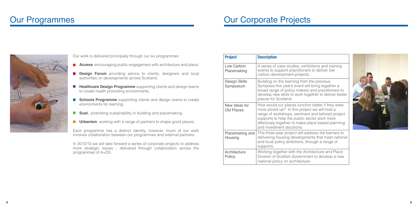ons and training deliver low

previous ring together a d practitioners to ner to deliver better

etter if they were ve will host a nd tailored project r work more e based planning

ss the barriers to that meet national gh a range of

ecture and Place to develop a new



Our work is delivered principally through our six programmes:

- **Access** encouraging public engagement with architecture and place.
- **Design Forum** providing advice to clients, designers and local authorities on developments across Scotland.
- **Healthcare Design Programme** supporting clients and design teams to create health promoting environments.
- **Schools Programme** supporting clients and design teams to create environments for learning.
- **Sust.** promoting sustainability in building and placemaking.
- **Urbanism** working with a range of partners to shape good places.

Each programme has a distinct identity, however, much of our work involves collaboration between our programmes and external partners.

In 2012/13 we will take forward a series of corporate projects to address more strategic issues - delivered through collaboration across the programmes of A+DS.

## Our Programmes

|  | <b>Project</b>                     | <b>Description</b>                                                                                                                                                                                                 |
|--|------------------------------------|--------------------------------------------------------------------------------------------------------------------------------------------------------------------------------------------------------------------|
|  | Low Carbon<br>Placemaking          | A series of case studies, exhibitio<br>events to support practitioners to<br>carbon development projects.                                                                                                          |
|  | <b>Design Skills</b><br>Symposium  | Building on the learning from the<br>Symposia this year's event will bri<br>broad range of policy makers and<br>develop new skills to work togeth<br>places for Scotland.                                          |
|  | New Ideas for<br><b>Old Places</b> | How would our places function be<br>more joined up? In this project we<br>range of workshops, seminars an<br>supports to help the public sector<br>effectively together to make place<br>and investment decisions. |
|  | Placemaking and<br>Housing         | This three-year project will addres<br>delivering housing developments<br>and local policy ambitions, throug<br>supports.                                                                                          |
|  | Architecture<br>Policy             | Working together with the Archite<br>Division of Scottish Government to<br>national policy on architecture.                                                                                                        |

## Our Corporate Projects

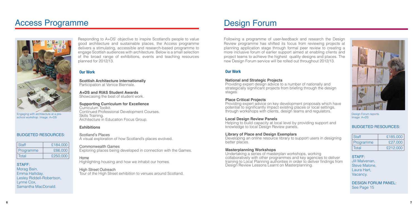## Access Programme

### BUDGETED RESOURCES:

| Staff     | £184,000 |  |
|-----------|----------|--|
| Programme | £66,000  |  |
| Total     | £250,000 |  |

#### STAFF:

Morag Bain, Emma Halliday, Lesley Riddell-Robertson, Lynne Cox, Samantha MacDonald.

### Our Work

**Scottish Architecture internationally** Participation at Venice Biennale.

**A+DS and RIAS Student Awards**  Showcasing the best of student work.

**Supporting Curriculum for Excellence** Curriculum Toolkit. Continued Professional Development Courses. Skills Training. Architecture in Education Focus Group.

### **Exhibitions**

Scotland's Places A visual exploration of how Scotland's places evolved.

Commonwealth Games Exploring places being developed in connection with the Games.

### Home

Highlighting housing and how we inhabit our homes.

### High Street Outreach

Tour of the High Street exhibition to venues around Scotland.

Responding to A+DS' objective to inspire Scotland's people to value good architecture and sustainable places, the Access programme delivers a stimulating, accessible and research-based programme to engage Scottish audiences with architecture. Below is a small selection of the broad range of exhibitions, events and teaching resources planned for 2012/13.

Developing an online resource library to support users in designing better places.

Following a programme of user-feedback and research the Design Review programme has shifted its focus from reviewing projects at planning application stage through formal peer review to creating a more inclusive forum of earlier support aimed at enabling clients and project teams to achieve the highest quality designs and places. The new Design Forum service will be rolled out throughout 2012/13.

## Design Forum

### BUDGETED RESOURCES:

| Staff     | £185,000 |  |  |
|-----------|----------|--|--|
| Programme | £27,000  |  |  |
| Total     | £212,000 |  |  |

STAFF: Jill Malvenan, Steve Malone, Laura Hart, Vacancy.

DESIGN FORUM PANEL: See Page 15

### Our Work

#### **National and Strategic Projects**

Providing expert design advice to a number of nationally and strategically significant projects from briefing through the design stages.

### **Place Critical Projects**

Providing expert advice on key development proposals which have potential to significantly impact existing places or local settings, through workshops with clients, design teams and regulators.

### **Local Design Review Panels**

Helping to build capacity at local level by providing support and knowledge to local Design Review panels.

### **Library of Place and Design Exemplars**

### **Masterplanning Workshops**

Undertaking a series of masterplan workshops, working collaboratively with other programmes and key agencies to deliver training to Local Planning authorities in order to deliver findings from Design Review Lessons Learnt on Masterplanning.



Engaging with architecture at a preschool workshop. Image: A+DS



Design Forum reports. Image: A+DS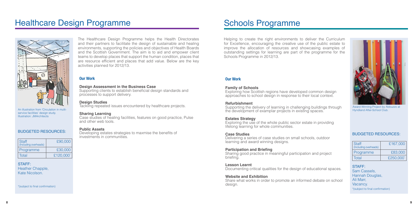## Healthcare Design Programme



### Our Work

#### **Design Assessment in the Business Case**

Supporting clients to establish beneficial design standards and processes to support delivery.

### **Design Studies**

Tackling repeated issues encountered by healthcare projects.

### **Sharing Learning**

Case studies of healing facilities, features on good practice, Pulse and other web tools.

### **Public Assets**

Developing estates strategies to maxmise the benefits of investments in communities.

The Healthcare Design Programme helps the Health Directorates and their partners to facilitate the design of sustainable and healing environments, supporting the policies and objectives of Health Boards and the Scottish Government. The aim is to aid and empower client teams to develop places that support the human condition, places that are resource efficient and places that add value. Below are the key activities planned for 2012/13.

> Delivering a series of case studies on small schools, outdoor learning and award winning designs.

Helping to create the right environments to deliver the Curriculum for Excellence, encouraging the creative use of the public estate to improve the allocation of resources and showcasing examples of outstanding settings for learning are part of the programme for the Schools Programme in 2012/13.

# Schools Programme

## Our Work

### **Family of Schools**

Exploring how Scottish regions have developed common design approaches to school design in response to their local context.

### **Refurbishment**

Supporting the delivery of learning in challenging buildings through the development of examplar projects in existing spaces.

### **Estates Strategy**

Exploring the use of the whole public sector estate in providing lifelong learning for whole communities.

### **Case Studies**

### **Participation and Briefing**

Sharing good practice in meaningful participation and project briefing.

### **Lesson Learnt**

Documenting critical qualities for the design of educational spaces.

### **Website and Exhibition**

Share what works in order to promote an informed debate on school design.

An illustration from 'Circulation in multiservice facilities' design study. Illustration: JMArchitects



Award Winning Project by Abbuzzo at Hyndland After-School Club.

### BUDGETED RESOURCES:

| <b>Staff</b><br>(Including overheads) | £90,000   |
|---------------------------------------|-----------|
| Programme                             | £30,000   |
| Total                                 | £120,000* |

STAFF: Heather Chapple, Kate Nicolson.

\*(subject to final confirmation)

### BUDGETED RESOURCES:

| Staff<br>(Including overheads) | £167,000  |  |  |
|--------------------------------|-----------|--|--|
| Programme                      | £83,000   |  |  |
| Total                          | £250,000* |  |  |

STAFF: Sam Cassels, Hannah Douglas, Ali Marr, Vacancy. \*(subject to final confirmation)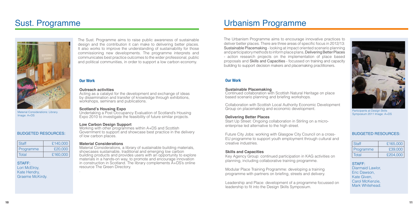## Sust. Programme



- 
- 
- 
- 
- 
- 
- 

### Our Work

#### **Outreach activities**

Undertaking a Post Occupancy Evaluation of Scotland's Housing Expo 2010 to investigate the feasibility of future similar projects.

Acting as a catalyst for the development and exchange of ideas by dissemination and transfer of knowledge through exhibitions, workshops, seminars and publications.

### **Scotland's Housing Expo**

### **Low Carbon Design Support**

Working with other programmes within A+DS and Scottish Government to support and showcase best practice in the delivery of low carbon places.

### **Material Considerations**

Material Considerations, a library of sustainable building materials, showcases sustainable, traditional and emerging low carbon building products and provides users with an opportunity to explore materials in a hands-on way, to promote and encourage innovation in construction in Scotland. The library complements A+DS's online resource The Green Directory.

.

The Sust. Programme aims to raise public awareness of sustainable design and the contribution it can make to delivering better places. It also works to improve the understanding of sustainability for those commissioning new developments. The programme interprets and communicates best practice outcomes to the wider professional, public and political communities, in order to support a low carbon economy.

The Urbanism Programme aims to encourage innovative practices to deliver better places. There are three areas of specific focus in 2012/13: Sustainable Placemaking - looking at impact oriented scenario planning and participatory methods to inform place plans, Delivering Better Places - action research projects on the implementation of place based proposals and Skills and Capacities - focussed on training and capacity building to support decision makers and placemaking practitioners.

# Urbanism Programme

### Our Work

### **Sustainable Placemaking**

Continued collaboration with Scottish Natural Heritage on place based scenario planning and briefing workshops.

Collaboration with Scottish Local Authority Economic Development Group on placemaking and economic development.

### **Delivering Better Places**

Start Up Street: Ongoing collaboration in Stirling on a microenterprise led alternative to the high street.

Future City Jobs: working with Glasgow City Council on a cross-EU programme to support youth employment through cultural and creative industries.

### **Skills and Capacities**

Key Agency Group: continued participation in KAG activities on planning, including collaborative training programme.

Modular Place Training Programme: developing a training programme with partners on briefing, streets and delivery.

Leadership and Place: development of a programme focussed on leadership to fit into the Design Skills Symposium.

Material Considerations: Library. Image: A+DS



Participants at Design Skills Symposium 2011 Image: A+DS

### BUDGETED RESOURCES:

| Staff     | £140,000 |
|-----------|----------|
| Programme | £20,000  |
| Total     | £160,000 |

STAFF: **Lori McElroy,** Kate Hendry, Graeme McKirdy.

### BUDGETED RESOURCES:

| Staff     | £165,000 |  |  |
|-----------|----------|--|--|
| Programme | £39,000  |  |  |
| Total     | £204,000 |  |  |

STAFF: Diarmaid Lawlor, Eric Dawson, Kate Given, Carol McKenzie, Mark Whitehead.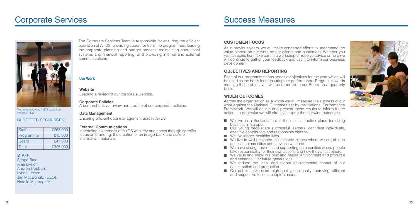

## Corporate Services



The Corporate Services Team is responsible for ensuring the efficient operation of A+DS, providing suport for front line programmes, leading the corporate planning and budget process, maintaining operational systems and financial reporting, and providing internal and external communications.

### Our Work

#### **Website**

Leading a review of our corporate website.

#### **Corporate Policies**

A comprehensive review and update of our corporate policies.

### **Data Management**

Ensuring efficient data management across A+DS.

### **External Communications**

Increasing awareness of A+DS with key audiences through specific focus on branding, the creation of an image bank and suite of information materials.

Across the organisation as a whole we will measure the success of our work against the National Outcomes set by the National Performance Framework. We will collate and present these results to inform future action. In particular we will directly support the following outcomes:

### **CUSTOMER FOCUS**

As in previous years, we will make concerted efforts to understand the value placed on our work by our clients and customers. Whether you visit an exhibition, take part in a workshop or receive advice or help we will continue to gather your feedback and use it to inform our business development.

### **OBJECTIVES AND REPORTING**

Each of our programmes has specific objectives for the year which will be used as the basis for measuring our performance. Progress towards meeting these objectives will be reported to our Board on a quarterly basis.

- $\blacksquare$  We live in a Scotland that is the most attractive place for doing business in Europe.
- $\Box$  Our young people are successful learners, confident individuals, effective contributors and responsible citizens.
- $\blacksquare$  We live longer, healthier lives.
- $\blacksquare$  We live in well-designed, sustainable places where we are able to access the amenities and services we need.
- $\blacksquare$  We have strong, resilient and supporting communities where people take responsibility for their own actions and how they affect others.
- We value and enjoy our built and natural environment and protect it and enhance it for future generations.
- $\blacksquare$  We reduce the local and global environmental impact of our consumption and production.
- Our public services are high quality, continually improving, efficient and responsive to local people's needs.

### **WIDER OUTCOMES**

## Success Measures

Media interview at A+DS exhibition. Image: A+DS

### BUDGETED RESOURCES:

| Staff        | £263,000 |  |
|--------------|----------|--|
| Programme    | £15,000  |  |
| <b>Board</b> | £47,000  |  |
| Total        | £325,000 |  |

#### STAFF:

Senga Bate, Anja Ekelof, Andrea Hepburn, Lynne Lineen, Jim MacDonald (CEO), Natalie McLaughlin.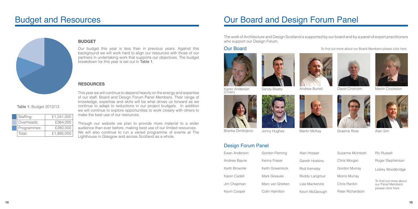Our budget this year is less than in previous years. Against this background we will work hard to align our resources with those of our partners in undertaking work that supports our objectives. The budget breakdown for this year is set out in Table 1.

## Budget and Resources



Through our website we plan to provide more material to a wi audience than ever before, making best use of our limited resources. We will also continue to run a varied programme of events at The Lighthouse in Glasgow and across Scotland as a whole.

This year we will continue to depend heavily on the energy and expertise of our staff, Board and Design Forum Panel Members. Their range of knowledge, expertise and skills will be what drives us forward as we continue to adapt to reductions in our project budgets. In addition we will continue to explore opportunities to work closely with others to make the best use of our resources.

The work of Architecture and Design Scotland is supported by our board and by a panel of expert practitioners who support our Design Forum.

| Ewan Anderson       | Gordon Fleming   |
|---------------------|------------------|
| <b>Andrew Bayne</b> | Kenny Fraser     |
| Keith Brownlie      | Keith Gowenlock  |
| Karen Cadell        | Mark Greaves     |
| Jim Chapman         | Marc van Grieken |
| Kevin Cooper        | Colin Hamilton   |

### **RESOURCES**

Table 1: Budget 2012/13

Staffing: £1,241,000 Overheads: £364,000 Programmes: £280,000 Total: £1,885,000

## **BUDGET**

# Our Board and Design Forum Panel

## Our Board



Karen Anderson<br>(Chair)







Branka Dimitrijevic Jonny Hughes Martin McKay Graeme Ross Alan Sim

#### 14 International and the control of the control of the control of the control of the control of the control of the control of the control of the control of the control of the control of the control of the control of the co

## Design Forum Panel

| эr    | Suzanne McIntosh |
|-------|------------------|
| ikins | Chris Morgan     |
| ey    | Gordon Murray    |
| gmuir | Morris Murray    |
| nzie  | Chris Rankin     |
| eough | Peter Richardson |
|       |                  |

Ric Russell

Roger Stephenson

Lesley Woodbridge

To find out more about our Panel Members please [click here.](http://www.ads.org.uk/designreview/panel) 



| ider |  |  |
|------|--|--|

To find out more about our Board Members pleas[e click here.](http://www.ads.org.uk/about-us/key-people)







Karen Anderson Sandy Beatty Andrew Burrell David Chisholm Martin Crookston<br>(Chair)